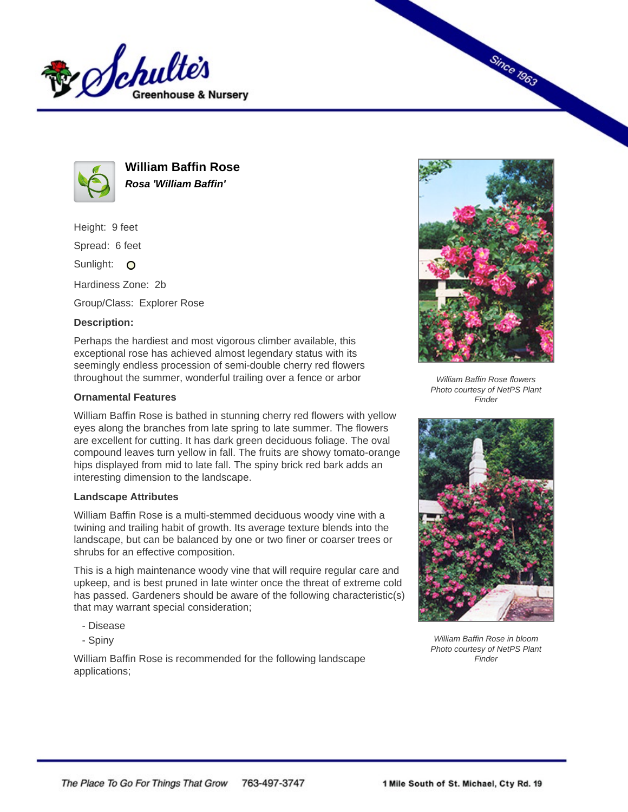



**William Baffin Rose Rosa 'William Baffin'**

Height: 9 feet

Spread: 6 feet

Sunlight: O

Hardiness Zone: 2b

Group/Class: Explorer Rose

## **Description:**

Perhaps the hardiest and most vigorous climber available, this exceptional rose has achieved almost legendary status with its seemingly endless procession of semi-double cherry red flowers throughout the summer, wonderful trailing over a fence or arbor

## **Ornamental Features**

William Baffin Rose is bathed in stunning cherry red flowers with yellow eyes along the branches from late spring to late summer. The flowers are excellent for cutting. It has dark green deciduous foliage. The oval compound leaves turn yellow in fall. The fruits are showy tomato-orange hips displayed from mid to late fall. The spiny brick red bark adds an interesting dimension to the landscape.

## **Landscape Attributes**

William Baffin Rose is a multi-stemmed deciduous woody vine with a twining and trailing habit of growth. Its average texture blends into the landscape, but can be balanced by one or two finer or coarser trees or shrubs for an effective composition.

This is a high maintenance woody vine that will require regular care and upkeep, and is best pruned in late winter once the threat of extreme cold has passed. Gardeners should be aware of the following characteristic(s) that may warrant special consideration;

- Disease
- Spiny

William Baffin Rose is recommended for the following landscape applications;



**Since 1963** 

William Baffin Rose flowers Photo courtesy of NetPS Plant **Finder** 



William Baffin Rose in bloom Photo courtesy of NetPS Plant Finder